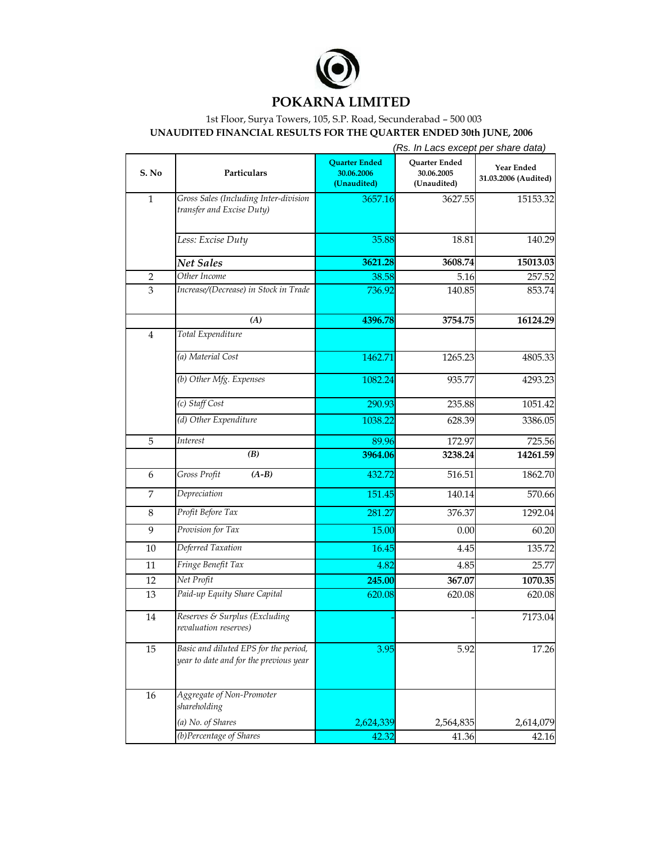

## **POKARNA LIMITED**

## 1st Floor, Surya Towers, 105, S.P. Road, Secunderabad – 500 003 **UNAUDITED FINANCIAL RESULTS FOR THE QUARTER ENDED 30th JUNE, 2006**

|                  |                                                                                 | (Rs. In Lacs except per share data)               |                                            |                                    |
|------------------|---------------------------------------------------------------------------------|---------------------------------------------------|--------------------------------------------|------------------------------------|
| S. No            | Particulars                                                                     | <b>Quarter Ended</b><br>30.06.2006<br>(Unaudited) | Quarter Ended<br>30.06.2005<br>(Unaudited) | Year Ended<br>31.03.2006 (Audited) |
| $\mathbf{1}$     | Gross Sales (Including Inter-division<br>transfer and Excise Duty)              | 3657.16                                           | 3627.55                                    | 15153.32                           |
|                  | Less: Excise Duty                                                               | 35.88                                             | 18.81                                      | 140.29                             |
|                  | <b>Net Sales</b>                                                                | 3621.28                                           | 3608.74                                    | 15013.03                           |
| $\boldsymbol{2}$ | Other Income                                                                    | 38.58                                             | 5.16                                       | 257.52                             |
| 3                | Increase/(Decrease) in Stock in Trade                                           | 736.92                                            | 140.85                                     | 853.74                             |
|                  | (A)                                                                             | 4396.78                                           | 3754.75                                    | 16124.29                           |
| $\overline{4}$   | Total Expenditure                                                               |                                                   |                                            |                                    |
|                  | (a) Material Cost                                                               | 1462.71                                           | 1265.23                                    | 4805.33                            |
|                  | (b) Other Mfg. Expenses                                                         | 1082.24                                           | 935.77                                     | 4293.23                            |
|                  | (c) Staff Cost                                                                  | 290.93                                            | 235.88                                     | 1051.42                            |
|                  | (d) Other Expenditure                                                           | 1038.22                                           | 628.39                                     | 3386.05                            |
| 5                | Interest                                                                        | 89.96                                             | 172.97                                     | 725.56                             |
|                  | (B)                                                                             | 3964.06                                           | 3238.24                                    | 14261.59                           |
| 6                | Gross Profit<br>$(A-B)$                                                         | 432.72                                            | 516.51                                     | 1862.70                            |
| 7                | Depreciation                                                                    | 151.45                                            | 140.14                                     | 570.66                             |
| 8                | Profit Before Tax                                                               | 281.27                                            | 376.37                                     | 1292.04                            |
| 9                | Provision for Tax                                                               | 15.00                                             | 0.00                                       | 60.20                              |
| 10               | Deferred Taxation                                                               | 16.45                                             | 4.45                                       | 135.72                             |
| 11               | Fringe Benefit Tax                                                              | 4.82                                              | 4.85                                       | 25.77                              |
| 12               | Net Profit                                                                      | 245.00                                            | 367.07                                     | 1070.35                            |
| 13               | Paid-up Equity Share Capital                                                    | 620.08                                            | 620.08                                     | 620.08                             |
| 14               | Reserves & Surplus (Excluding<br>revaluation reserves)                          |                                                   |                                            | 7173.04                            |
| 15               | Basic and diluted EPS for the period,<br>year to date and for the previous year | 3.95                                              | 5.92                                       | 17.26                              |
| 16               | Aggregate of Non-Promoter<br>shareholding                                       |                                                   |                                            |                                    |
|                  | (a) No. of Shares                                                               | 2,624,339                                         | 2,564,835                                  | 2,614,079                          |
|                  | (b)Percentage of Shares                                                         | 42.32                                             | 41.36                                      | 42.16                              |